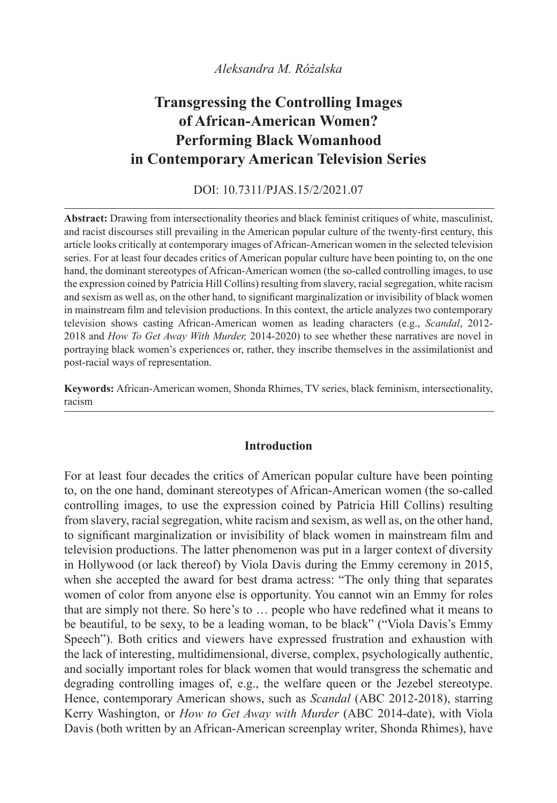## *Aleksandra M. Różalska*

# **Transgressing the Controlling Images of African-American Women? Performing Black Womanhood in Contemporary American Television Series**

# DOI: 10.7311/PJAS.15/2/2021.07

**Abstract:** Drawing from intersectionality theories and black feminist critiques of white, masculinist, and racist discourses still prevailing in the American popular culture of the twenty-first century, this article looks critically at contemporary images of African-American women in the selected television series. For at least four decades critics of American popular culture have been pointing to, on the one hand, the dominant stereotypes of African-American women (the so-called controlling images, to use the expression coined by Patricia Hill Collins) resulting from slavery, racial segregation, white racism and sexism as well as, on the other hand, to significant marginalization or invisibility of black women in mainstream film and television productions. In this context, the article analyzes two contemporary television shows casting African-American women as leading characters (e.g., *Scandal*, 2012- 2018 and *How To Get Away With Murder,* 2014-2020) to see whether these narratives are novel in portraying black women's experiences or, rather, they inscribe themselves in the assimilationist and post-racial ways of representation.

**Keywords:** African-American women, Shonda Rhimes, TV series, black feminism, intersectionality, racism

## **Introduction**

For at least four decades the critics of American popular culture have been pointing to, on the one hand, dominant stereotypes of African-American women (the so-called controlling images, to use the expression coined by Patricia Hill Collins) resulting from slavery, racial segregation, white racism and sexism, as well as, on the other hand, to significant marginalization or invisibility of black women in mainstream film and television productions. The latter phenomenon was put in a larger context of diversity in Hollywood (or lack thereof) by Viola Davis during the Emmy ceremony in 2015, when she accepted the award for best drama actress: "The only thing that separates women of color from anyone else is opportunity. You cannot win an Emmy for roles that are simply not there. So here's to … people who have redefined what it means to be beautiful, to be sexy, to be a leading woman, to be black" ("Viola Davis's Emmy Speech"). Both critics and viewers have expressed frustration and exhaustion with the lack of interesting, multidimensional, diverse, complex, psychologically authentic, and socially important roles for black women that would transgress the schematic and degrading controlling images of, e.g., the welfare queen or the Jezebel stereotype. Hence, contemporary American shows, such as *Scandal* (ABC 2012-2018), starring Kerry Washington, or *How to Get Away with Murder* (ABC 2014-date), with Viola Davis (both written by an African-American screenplay writer, Shonda Rhimes), have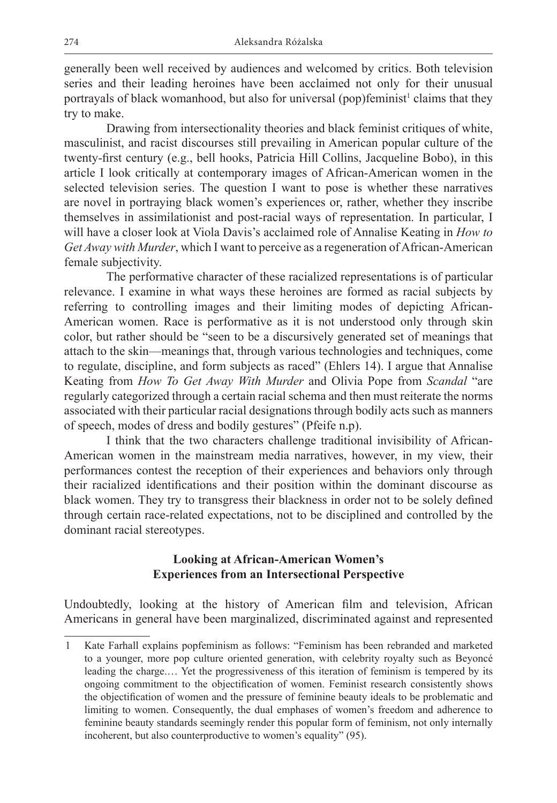generally been well received by audiences and welcomed by critics. Both television series and their leading heroines have been acclaimed not only for their unusual portrayals of black womanhood, but also for universal (pop)feminist<sup>1</sup> claims that they try to make.

Drawing from intersectionality theories and black feminist critiques of white, masculinist, and racist discourses still prevailing in American popular culture of the twenty-first century (e.g., bell hooks, Patricia Hill Collins, Jacqueline Bobo), in this article I look critically at contemporary images of African-American women in the selected television series. The question I want to pose is whether these narratives are novel in portraying black women's experiences or, rather, whether they inscribe themselves in assimilationist and post-racial ways of representation. In particular, I will have a closer look at Viola Davis's acclaimed role of Annalise Keating in *How to Get Away with Murder*, which I want to perceive as a regeneration of African-American female subjectivity.

The performative character of these racialized representations is of particular relevance. I examine in what ways these heroines are formed as racial subjects by referring to controlling images and their limiting modes of depicting African-American women. Race is performative as it is not understood only through skin color, but rather should be "seen to be a discursively generated set of meanings that attach to the skin—meanings that, through various technologies and techniques, come to regulate, discipline, and form subjects as raced" (Ehlers 14). I argue that Annalise Keating from *How To Get Away With Murder* and Olivia Pope from *Scandal* "are regularly categorized through a certain racial schema and then must reiterate the norms associated with their particular racial designations through bodily acts such as manners of speech, modes of dress and bodily gestures" (Pfeife n.p).

I think that the two characters challenge traditional invisibility of African-American women in the mainstream media narratives, however, in my view, their performances contest the reception of their experiences and behaviors only through their racialized identifications and their position within the dominant discourse as black women. They try to transgress their blackness in order not to be solely defined through certain race-related expectations, not to be disciplined and controlled by the dominant racial stereotypes.

## **Looking at African-American Women's Experiences from an Intersectional Perspective**

Undoubtedly, looking at the history of American film and television, African Americans in general have been marginalized, discriminated against and represented

<sup>1</sup> Kate Farhall explains popfeminism as follows: "Feminism has been rebranded and marketed to a younger, more pop culture oriented generation, with celebrity royalty such as Beyoncé leading the charge.… Yet the progressiveness of this iteration of feminism is tempered by its ongoing commitment to the objectification of women. Feminist research consistently shows the objectification of women and the pressure of feminine beauty ideals to be problematic and limiting to women. Consequently, the dual emphases of women's freedom and adherence to feminine beauty standards seemingly render this popular form of feminism, not only internally incoherent, but also counterproductive to women's equality" (95).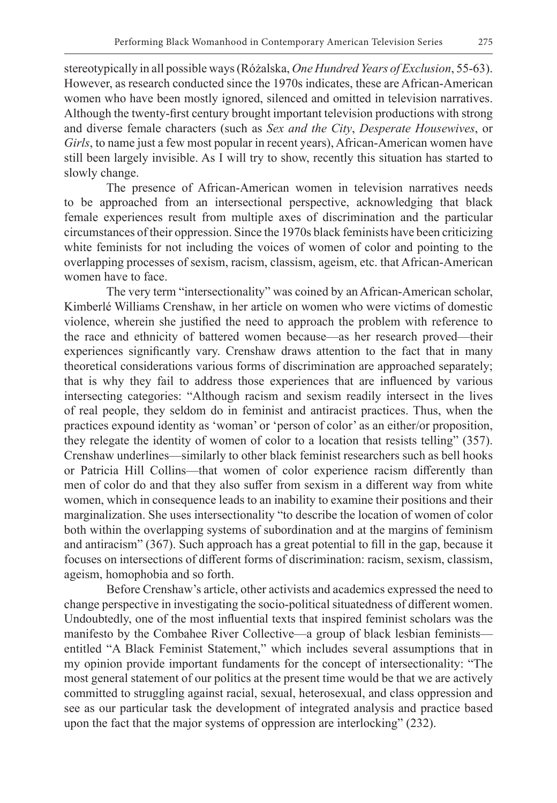stereotypically in all possible ways (Różalska, *One Hundred Years of Exclusion*, 55-63). However, as research conducted since the 1970s indicates, these are African-American women who have been mostly ignored, silenced and omitted in television narratives. Although the twenty-first century brought important television productions with strong and diverse female characters (such as *Sex and the City*, *Desperate Housewives*, or *Girls*, to name just a few most popular in recent years), African-American women have still been largely invisible. As I will try to show, recently this situation has started to slowly change.

The presence of African-American women in television narratives needs to be approached from an intersectional perspective, acknowledging that black female experiences result from multiple axes of discrimination and the particular circumstances of their oppression. Since the 1970s black feminists have been criticizing white feminists for not including the voices of women of color and pointing to the overlapping processes of sexism, racism, classism, ageism, etc. that African-American women have to face.

The very term "intersectionality" was coined by an African-American scholar, Kimberlé Williams Crenshaw, in her article on women who were victims of domestic violence, wherein she justified the need to approach the problem with reference to the race and ethnicity of battered women because—as her research proved—their experiences significantly vary. Crenshaw draws attention to the fact that in many theoretical considerations various forms of discrimination are approached separately; that is why they fail to address those experiences that are influenced by various intersecting categories: "Although racism and sexism readily intersect in the lives of real people, they seldom do in feminist and antiracist practices. Thus, when the practices expound identity as 'woman' or 'person of color' as an either/or proposition, they relegate the identity of women of color to a location that resists telling" (357). Crenshaw underlines—similarly to other black feminist researchers such as bell hooks or Patricia Hill Collins—that women of color experience racism differently than men of color do and that they also suffer from sexism in a different way from white women, which in consequence leads to an inability to examine their positions and their marginalization. She uses intersectionality "to describe the location of women of color both within the overlapping systems of subordination and at the margins of feminism and antiracism" (367). Such approach has a great potential to fill in the gap, because it focuses on intersections of different forms of discrimination: racism, sexism, classism, ageism, homophobia and so forth.

Before Crenshaw's article, other activists and academics expressed the need to change perspective in investigating the socio-political situatedness of different women. Undoubtedly, one of the most influential texts that inspired feminist scholars was the manifesto by the Combahee River Collective—a group of black lesbian feminists entitled "A Black Feminist Statement," which includes several assumptions that in my opinion provide important fundaments for the concept of intersectionality: "The most general statement of our politics at the present time would be that we are actively committed to struggling against racial, sexual, heterosexual, and class oppression and see as our particular task the development of integrated analysis and practice based upon the fact that the major systems of oppression are interlocking" (232).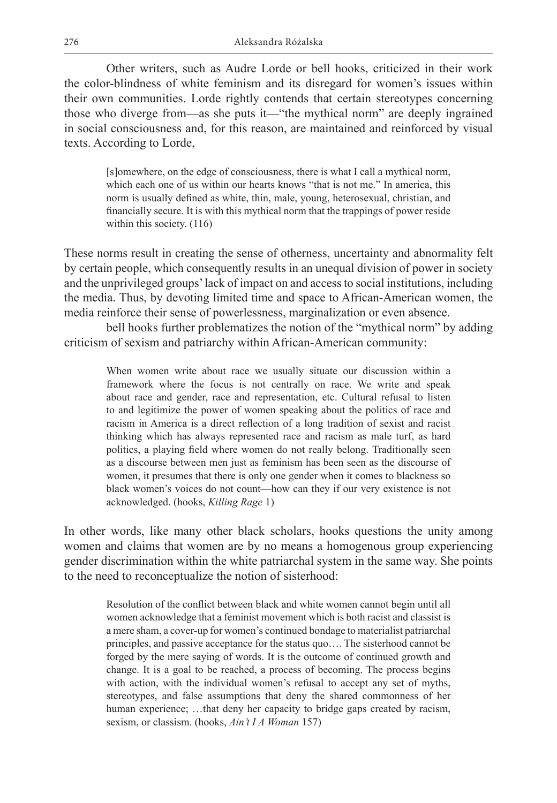Other writers, such as Audre Lorde or bell hooks, criticized in their work the color-blindness of white feminism and its disregard for women's issues within their own communities. Lorde rightly contends that certain stereotypes concerning those who diverge from—as she puts it—"the mythical norm" are deeply ingrained in social consciousness and, for this reason, are maintained and reinforced by visual texts. According to Lorde,

[s]omewhere, on the edge of consciousness, there is what I call a mythical norm, which each one of us within our hearts knows "that is not me." In america, this norm is usually defined as white, thin, male, young, heterosexual, christian, and financially secure. It is with this mythical norm that the trappings of power reside within this society. (116)

These norms result in creating the sense of otherness, uncertainty and abnormality felt by certain people, which consequently results in an unequal division of power in society and the unprivileged groups' lack of impact on and access to social institutions, including the media. Thus, by devoting limited time and space to African-American women, the media reinforce their sense of powerlessness, marginalization or even absence.

bell hooks further problematizes the notion of the "mythical norm" by adding criticism of sexism and patriarchy within African-American community:

When women write about race we usually situate our discussion within a framework where the focus is not centrally on race. We write and speak about race and gender, race and representation, etc. Cultural refusal to listen to and legitimize the power of women speaking about the politics of race and racism in America is a direct reflection of a long tradition of sexist and racist thinking which has always represented race and racism as male turf, as hard politics, a playing field where women do not really belong. Traditionally seen as a discourse between men just as feminism has been seen as the discourse of women, it presumes that there is only one gender when it comes to blackness so black women's voices do not count—how can they if our very existence is not acknowledged. (hooks, *Killing Rage* 1)

In other words, like many other black scholars, hooks questions the unity among women and claims that women are by no means a homogenous group experiencing gender discrimination within the white patriarchal system in the same way. She points to the need to reconceptualize the notion of sisterhood:

Resolution of the conflict between black and white women cannot begin until all women acknowledge that a feminist movement which is both racist and classist is a mere sham, a cover-up for women's continued bondage to materialist patriarchal principles, and passive acceptance for the status quo…. The sisterhood cannot be forged by the mere saying of words. It is the outcome of continued growth and change. It is a goal to be reached, a process of becoming. The process begins with action, with the individual women's refusal to accept any set of myths, stereotypes, and false assumptions that deny the shared commonness of her human experience; ...that deny her capacity to bridge gaps created by racism, sexism, or classism. (hooks, *Ain't I A Woman* 157)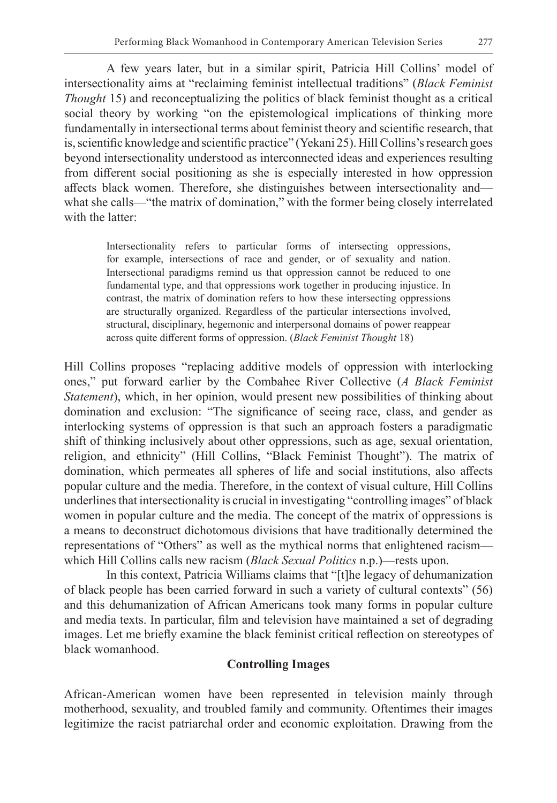A few years later, but in a similar spirit, Patricia Hill Collins' model of intersectionality aims at "reclaiming feminist intellectual traditions" (*Black Feminist Thought* 15) and reconceptualizing the politics of black feminist thought as a critical social theory by working "on the epistemological implications of thinking more fundamentally in intersectional terms about feminist theory and scientific research, that is, scientific knowledge and scientific practice" (Yekani 25). Hill Collins's research goes beyond intersectionality understood as interconnected ideas and experiences resulting from different social positioning as she is especially interested in how oppression affects black women. Therefore, she distinguishes between intersectionality and what she calls—"the matrix of domination," with the former being closely interrelated with the latter:

Intersectionality refers to particular forms of intersecting oppressions, for example, intersections of race and gender, or of sexuality and nation. Intersectional paradigms remind us that oppression cannot be reduced to one fundamental type, and that oppressions work together in producing injustice. In contrast, the matrix of domination refers to how these intersecting oppressions are structurally organized. Regardless of the particular intersections involved, structural, disciplinary, hegemonic and interpersonal domains of power reappear across quite different forms of oppression. (*Black Feminist Thought* 18)

Hill Collins proposes "replacing additive models of oppression with interlocking ones," put forward earlier by the Combahee River Collective (*A Black Feminist Statement*), which, in her opinion, would present new possibilities of thinking about domination and exclusion: "The significance of seeing race, class, and gender as interlocking systems of oppression is that such an approach fosters a paradigmatic shift of thinking inclusively about other oppressions, such as age, sexual orientation, religion, and ethnicity" (Hill Collins, "Black Feminist Thought"). The matrix of domination, which permeates all spheres of life and social institutions, also affects popular culture and the media. Therefore, in the context of visual culture, Hill Collins underlines that intersectionality is crucial in investigating "controlling images" of black women in popular culture and the media. The concept of the matrix of oppressions is a means to deconstruct dichotomous divisions that have traditionally determined the representations of "Others" as well as the mythical norms that enlightened racism which Hill Collins calls new racism (*Black Sexual Politics* n.p.)—rests upon.

In this context, Patricia Williams claims that "[t]he legacy of dehumanization of black people has been carried forward in such a variety of cultural contexts" (56) and this dehumanization of African Americans took many forms in popular culture and media texts. In particular, film and television have maintained a set of degrading images. Let me briefly examine the black feminist critical reflection on stereotypes of black womanhood.

#### **Controlling Images**

African-American women have been represented in television mainly through motherhood, sexuality, and troubled family and community. Oftentimes their images legitimize the racist patriarchal order and economic exploitation. Drawing from the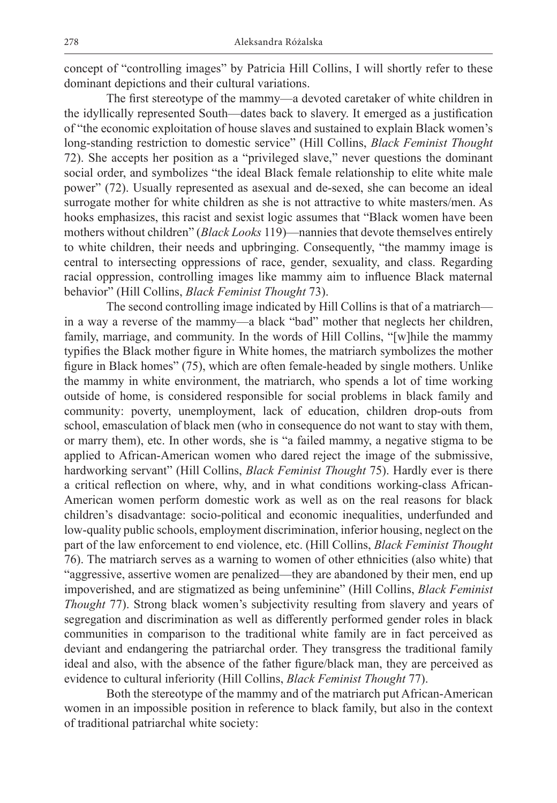concept of "controlling images" by Patricia Hill Collins, I will shortly refer to these dominant depictions and their cultural variations.

The first stereotype of the mammy—a devoted caretaker of white children in the idyllically represented South—dates back to slavery. It emerged as a justification of "the economic exploitation of house slaves and sustained to explain Black women's long-standing restriction to domestic service" (Hill Collins, *Black Feminist Thought* 72). She accepts her position as a "privileged slave," never questions the dominant social order, and symbolizes "the ideal Black female relationship to elite white male power" (72). Usually represented as asexual and de-sexed, she can become an ideal surrogate mother for white children as she is not attractive to white masters/men. As hooks emphasizes, this racist and sexist logic assumes that "Black women have been mothers without children" (*Black Looks* 119)—nannies that devote themselves entirely to white children, their needs and upbringing. Consequently, "the mammy image is central to intersecting oppressions of race, gender, sexuality, and class. Regarding racial oppression, controlling images like mammy aim to influence Black maternal behavior" (Hill Collins, *Black Feminist Thought* 73).

The second controlling image indicated by Hill Collins is that of a matriarch in a way a reverse of the mammy—a black "bad" mother that neglects her children, family, marriage, and community. In the words of Hill Collins, "[w]hile the mammy typifies the Black mother figure in White homes, the matriarch symbolizes the mother figure in Black homes" (75), which are often female-headed by single mothers. Unlike the mammy in white environment, the matriarch, who spends a lot of time working outside of home, is considered responsible for social problems in black family and community: poverty, unemployment, lack of education, children drop-outs from school, emasculation of black men (who in consequence do not want to stay with them, or marry them), etc. In other words, she is "a failed mammy, a negative stigma to be applied to African-American women who dared reject the image of the submissive, hardworking servant" (Hill Collins, *Black Feminist Thought* 75). Hardly ever is there a critical reflection on where, why, and in what conditions working-class African-American women perform domestic work as well as on the real reasons for black children's disadvantage: socio-political and economic inequalities, underfunded and low-quality public schools, employment discrimination, inferior housing, neglect on the part of the law enforcement to end violence, etc. (Hill Collins, *Black Feminist Thought*  76). The matriarch serves as a warning to women of other ethnicities (also white) that "aggressive, assertive women are penalized—they are abandoned by their men, end up impoverished, and are stigmatized as being unfeminine" (Hill Collins, *Black Feminist Thought* 77). Strong black women's subjectivity resulting from slavery and years of segregation and discrimination as well as differently performed gender roles in black communities in comparison to the traditional white family are in fact perceived as deviant and endangering the patriarchal order. They transgress the traditional family ideal and also, with the absence of the father figure/black man, they are perceived as evidence to cultural inferiority (Hill Collins, *Black Feminist Thought* 77).

Both the stereotype of the mammy and of the matriarch put African-American women in an impossible position in reference to black family, but also in the context of traditional patriarchal white society: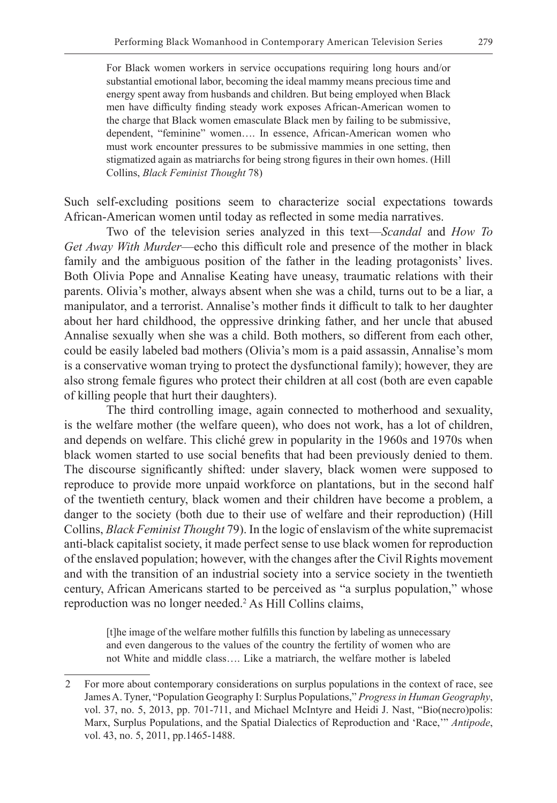For Black women workers in service occupations requiring long hours and/or substantial emotional labor, becoming the ideal mammy means precious time and energy spent away from husbands and children. But being employed when Black men have difficulty finding steady work exposes African-American women to the charge that Black women emasculate Black men by failing to be submissive, dependent, "feminine" women…. In essence, African-American women who must work encounter pressures to be submissive mammies in one setting, then stigmatized again as matriarchs for being strong figures in their own homes. (Hill Collins, *Black Feminist Thought* 78)

Such self-excluding positions seem to characterize social expectations towards African-American women until today as reflected in some media narratives.

Two of the television series analyzed in this text—*Scandal* and *How To Get Away With Murder*—echo this difficult role and presence of the mother in black family and the ambiguous position of the father in the leading protagonists' lives. Both Olivia Pope and Annalise Keating have uneasy, traumatic relations with their parents. Olivia's mother, always absent when she was a child, turns out to be a liar, a manipulator, and a terrorist. Annalise's mother finds it difficult to talk to her daughter about her hard childhood, the oppressive drinking father, and her uncle that abused Annalise sexually when she was a child. Both mothers, so different from each other, could be easily labeled bad mothers (Olivia's mom is a paid assassin, Annalise's mom is a conservative woman trying to protect the dysfunctional family); however, they are also strong female figures who protect their children at all cost (both are even capable of killing people that hurt their daughters).

The third controlling image, again connected to motherhood and sexuality, is the welfare mother (the welfare queen), who does not work, has a lot of children, and depends on welfare. This cliché grew in popularity in the 1960s and 1970s when black women started to use social benefits that had been previously denied to them. The discourse significantly shifted: under slavery, black women were supposed to reproduce to provide more unpaid workforce on plantations, but in the second half of the twentieth century, black women and their children have become a problem, a danger to the society (both due to their use of welfare and their reproduction) (Hill Collins, *Black Feminist Thought* 79). In the logic of enslavism of the white supremacist anti-black capitalist society, it made perfect sense to use black women for reproduction of the enslaved population; however, with the changes after the Civil Rights movement and with the transition of an industrial society into a service society in the twentieth century, African Americans started to be perceived as "a surplus population," whose reproduction was no longer needed.<sup>2</sup> As Hill Collins claims,

[t]he image of the welfare mother fulfills this function by labeling as unnecessary and even dangerous to the values of the country the fertility of women who are not White and middle class…. Like a matriarch, the welfare mother is labeled

<sup>2</sup> For more about contemporary considerations on surplus populations in the context of race, see James A. Tyner, "Population Geography I: Surplus Populations," *Progress in Human Geography*, vol. 37, no. 5, 2013, pp. 701-711, and Michael McIntyre and Heidi J. Nast, "Bio(necro)polis: Marx, Surplus Populations, and the Spatial Dialectics of Reproduction and 'Race,'" *Antipode*, vol. 43, no. 5, 2011, pp.1465-1488.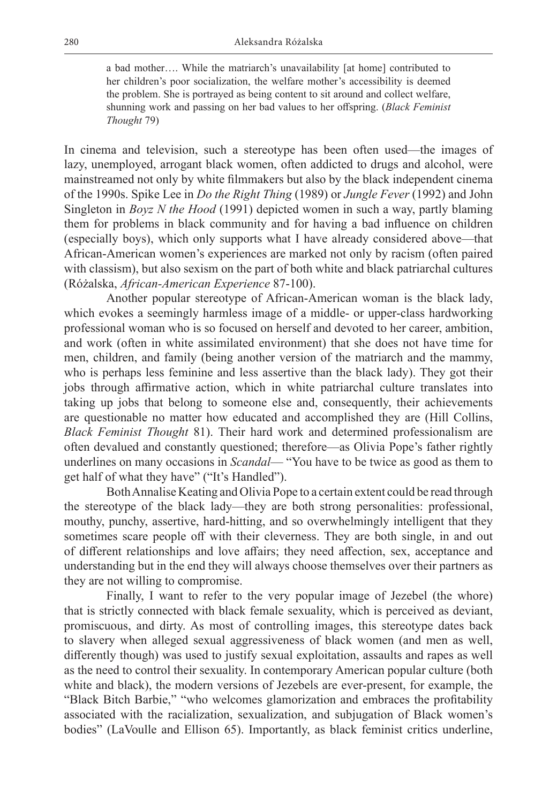a bad mother…. While the matriarch's unavailability [at home] contributed to her children's poor socialization, the welfare mother's accessibility is deemed the problem. She is portrayed as being content to sit around and collect welfare, shunning work and passing on her bad values to her offspring. (*Black Feminist Thought* 79)

In cinema and television, such a stereotype has been often used—the images of lazy, unemployed, arrogant black women, often addicted to drugs and alcohol, were mainstreamed not only by white filmmakers but also by the black independent cinema of the 1990s. Spike Lee in *Do the Right Thing* (1989) or *Jungle Fever* (1992) and John Singleton in *Boyz N the Hood* (1991) depicted women in such a way, partly blaming them for problems in black community and for having a bad influence on children (especially boys), which only supports what I have already considered above—that African-American women's experiences are marked not only by racism (often paired with classism), but also sexism on the part of both white and black patriarchal cultures (Różalska, *African-American Experience* 87-100).

Another popular stereotype of African-American woman is the black lady, which evokes a seemingly harmless image of a middle- or upper-class hardworking professional woman who is so focused on herself and devoted to her career, ambition, and work (often in white assimilated environment) that she does not have time for men, children, and family (being another version of the matriarch and the mammy, who is perhaps less feminine and less assertive than the black lady). They got their jobs through affirmative action, which in white patriarchal culture translates into taking up jobs that belong to someone else and, consequently, their achievements are questionable no matter how educated and accomplished they are (Hill Collins, *Black Feminist Thought* 81). Their hard work and determined professionalism are often devalued and constantly questioned; therefore—as Olivia Pope's father rightly underlines on many occasions in *Scandal*— "You have to be twice as good as them to get half of what they have" ("It's Handled").

Both Annalise Keating and Olivia Pope to a certain extent could be read through the stereotype of the black lady—they are both strong personalities: professional, mouthy, punchy, assertive, hard-hitting, and so overwhelmingly intelligent that they sometimes scare people off with their cleverness. They are both single, in and out of different relationships and love affairs; they need affection, sex, acceptance and understanding but in the end they will always choose themselves over their partners as they are not willing to compromise.

Finally, I want to refer to the very popular image of Jezebel (the whore) that is strictly connected with black female sexuality, which is perceived as deviant, promiscuous, and dirty. As most of controlling images, this stereotype dates back to slavery when alleged sexual aggressiveness of black women (and men as well, differently though) was used to justify sexual exploitation, assaults and rapes as well as the need to control their sexuality. In contemporary American popular culture (both white and black), the modern versions of Jezebels are ever-present, for example, the "Black Bitch Barbie," "who welcomes glamorization and embraces the profitability associated with the racialization, sexualization, and subjugation of Black women's bodies" (LaVoulle and Ellison 65). Importantly, as black feminist critics underline,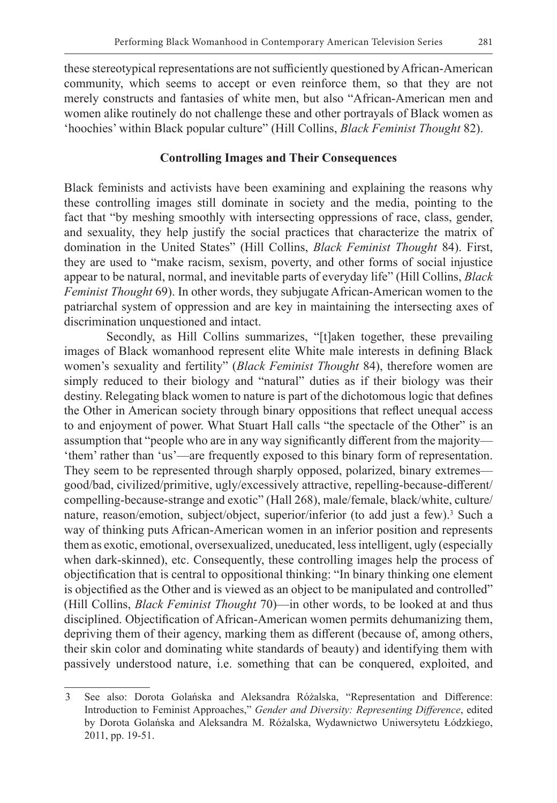these stereotypical representations are not sufficiently questioned by African-American community, which seems to accept or even reinforce them, so that they are not merely constructs and fantasies of white men, but also "African-American men and women alike routinely do not challenge these and other portrayals of Black women as 'hoochies' within Black popular culture" (Hill Collins, *Black Feminist Thought* 82).

#### **Controlling Images and Their Consequences**

Black feminists and activists have been examining and explaining the reasons why these controlling images still dominate in society and the media, pointing to the fact that "by meshing smoothly with intersecting oppressions of race, class, gender, and sexuality, they help justify the social practices that characterize the matrix of domination in the United States" (Hill Collins, *Black Feminist Thought* 84). First, they are used to "make racism, sexism, poverty, and other forms of social injustice appear to be natural, normal, and inevitable parts of everyday life" (Hill Collins, *Black Feminist Thought* 69). In other words, they subjugate African-American women to the patriarchal system of oppression and are key in maintaining the intersecting axes of discrimination unquestioned and intact.

Secondly, as Hill Collins summarizes, "[t]aken together, these prevailing images of Black womanhood represent elite White male interests in defining Black women's sexuality and fertility" (*Black Feminist Thought* 84), therefore women are simply reduced to their biology and "natural" duties as if their biology was their destiny. Relegating black women to nature is part of the dichotomous logic that defines the Other in American society through binary oppositions that reflect unequal access to and enjoyment of power. What Stuart Hall calls "the spectacle of the Other" is an assumption that "people who are in any way significantly different from the majority— 'them' rather than 'us'—are frequently exposed to this binary form of representation. They seem to be represented through sharply opposed, polarized, binary extremes good/bad, civilized/primitive, ugly/excessively attractive, repelling-because-different/ compelling-because-strange and exotic" (Hall 268), male/female, black/white, culture/ nature, reason/emotion, subject/object, superior/inferior (to add just a few).<sup>3</sup> Such a way of thinking puts African-American women in an inferior position and represents them as exotic, emotional, oversexualized, uneducated, less intelligent, ugly (especially when dark-skinned), etc. Consequently, these controlling images help the process of objectification that is central to oppositional thinking: "In binary thinking one element is objectified as the Other and is viewed as an object to be manipulated and controlled" (Hill Collins, *Black Feminist Thought* 70)—in other words, to be looked at and thus disciplined. Objectification of African-American women permits dehumanizing them, depriving them of their agency, marking them as different (because of, among others, their skin color and dominating white standards of beauty) and identifying them with passively understood nature, i.e. something that can be conquered, exploited, and

<sup>3</sup> See also: Dorota Golańska and Aleksandra Różalska, "Representation and Difference: Introduction to Feminist Approaches," *Gender and Diversity: Representing Difference*, edited by Dorota Golańska and Aleksandra M. Różalska, Wydawnictwo Uniwersytetu Łódzkiego, 2011, pp. 19-51.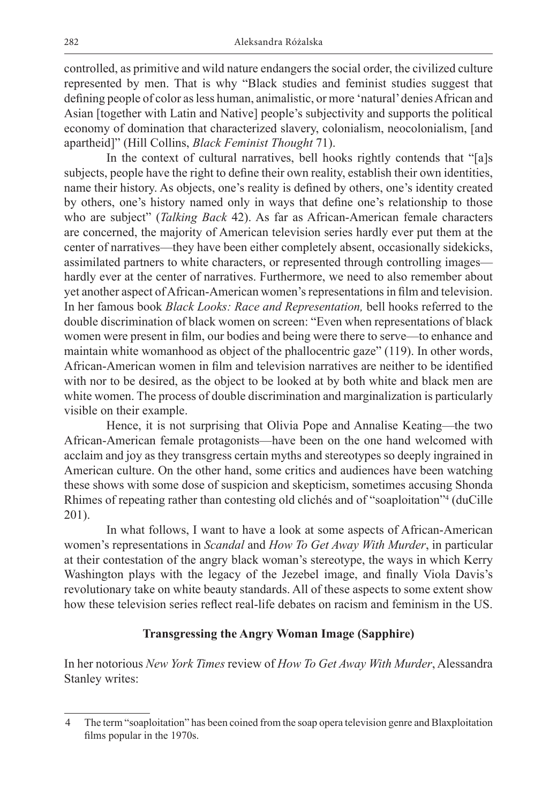controlled, as primitive and wild nature endangers the social order, the civilized culture represented by men. That is why "Black studies and feminist studies suggest that defining people of color as less human, animalistic, or more 'natural' denies African and Asian [together with Latin and Native] people's subjectivity and supports the political economy of domination that characterized slavery, colonialism, neocolonialism, [and apartheid]" (Hill Collins, *Black Feminist Thought* 71).

In the context of cultural narratives, bell hooks rightly contends that "[a]s subjects, people have the right to define their own reality, establish their own identities, name their history. As objects, one's reality is defined by others, one's identity created by others, one's history named only in ways that define one's relationship to those who are subject" (*Talking Back* 42). As far as African-American female characters are concerned, the majority of American television series hardly ever put them at the center of narratives—they have been either completely absent, occasionally sidekicks, assimilated partners to white characters, or represented through controlling images hardly ever at the center of narratives. Furthermore, we need to also remember about yet another aspect of African-American women's representations in film and television. In her famous book *Black Looks: Race and Representation,* bell hooks referred to the double discrimination of black women on screen: "Even when representations of black women were present in film, our bodies and being were there to serve—to enhance and maintain white womanhood as object of the phallocentric gaze" (119). In other words, African-American women in film and television narratives are neither to be identified with nor to be desired, as the object to be looked at by both white and black men are white women. The process of double discrimination and marginalization is particularly visible on their example.

Hence, it is not surprising that Olivia Pope and Annalise Keating—the two African-American female protagonists—have been on the one hand welcomed with acclaim and joy as they transgress certain myths and stereotypes so deeply ingrained in American culture. On the other hand, some critics and audiences have been watching these shows with some dose of suspicion and skepticism, sometimes accusing Shonda Rhimes of repeating rather than contesting old clichés and of "soaploitation"<sup>4</sup> (duCille 201).

In what follows, I want to have a look at some aspects of African-American women's representations in *Scandal* and *How To Get Away With Murder*, in particular at their contestation of the angry black woman's stereotype, the ways in which Kerry Washington plays with the legacy of the Jezebel image, and finally Viola Davis's revolutionary take on white beauty standards. All of these aspects to some extent show how these television series reflect real-life debates on racism and feminism in the US.

# **Transgressing the Angry Woman Image (Sapphire)**

In her notorious *New York Times* review of *How To Get Away With Murder*, Alessandra Stanley writes:

<sup>4</sup> The term "soaploitation" has been coined from the soap opera television genre and Blaxploitation films popular in the 1970s.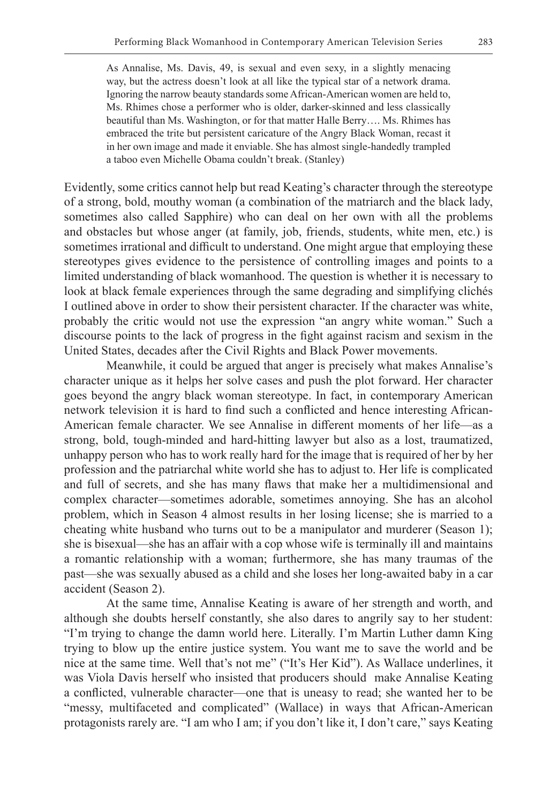As Annalise, Ms. Davis, 49, is sexual and even sexy, in a slightly menacing way, but the actress doesn't look at all like the typical star of a network drama. Ignoring the narrow beauty standards some African-American women are held to, Ms. Rhimes chose a performer who is older, darker-skinned and less classically beautiful than Ms. Washington, or for that matter Halle Berry…. Ms. Rhimes has embraced the trite but persistent caricature of the Angry Black Woman, recast it in her own image and made it enviable. She has almost single-handedly trampled a taboo even Michelle Obama couldn't break. (Stanley)

Evidently, some critics cannot help but read Keating's character through the stereotype of a strong, bold, mouthy woman (a combination of the matriarch and the black lady, sometimes also called Sapphire) who can deal on her own with all the problems and obstacles but whose anger (at family, job, friends, students, white men, etc.) is sometimes irrational and difficult to understand. One might argue that employing these stereotypes gives evidence to the persistence of controlling images and points to a limited understanding of black womanhood. The question is whether it is necessary to look at black female experiences through the same degrading and simplifying clichés I outlined above in order to show their persistent character. If the character was white, probably the critic would not use the expression "an angry white woman." Such a discourse points to the lack of progress in the fight against racism and sexism in the United States, decades after the Civil Rights and Black Power movements.

Meanwhile, it could be argued that anger is precisely what makes Annalise's character unique as it helps her solve cases and push the plot forward. Her character goes beyond the angry black woman stereotype. In fact, in contemporary American network television it is hard to find such a conflicted and hence interesting African-American female character. We see Annalise in different moments of her life—as a strong, bold, tough-minded and hard-hitting lawyer but also as a lost, traumatized, unhappy person who has to work really hard for the image that is required of her by her profession and the patriarchal white world she has to adjust to. Her life is complicated and full of secrets, and she has many flaws that make her a multidimensional and complex character—sometimes adorable, sometimes annoying. She has an alcohol problem, which in Season 4 almost results in her losing license; she is married to a cheating white husband who turns out to be a manipulator and murderer (Season 1); she is bisexual—she has an affair with a cop whose wife is terminally ill and maintains a romantic relationship with a woman; furthermore, she has many traumas of the past—she was sexually abused as a child and she loses her long-awaited baby in a car accident (Season 2).

At the same time, Annalise Keating is aware of her strength and worth, and although she doubts herself constantly, she also dares to angrily say to her student: "I'm trying to change the damn world here. Literally. I'm Martin Luther damn King trying to blow up the entire justice system. You want me to save the world and be nice at the same time. Well that's not me" ("It's Her Kid"). As Wallace underlines, it was Viola Davis herself who insisted that producers should make Annalise Keating a conflicted, vulnerable character—one that is uneasy to read; she wanted her to be "messy, multifaceted and complicated" (Wallace) in ways that African-American protagonists rarely are. "I am who I am; if you don't like it, I don't care," says Keating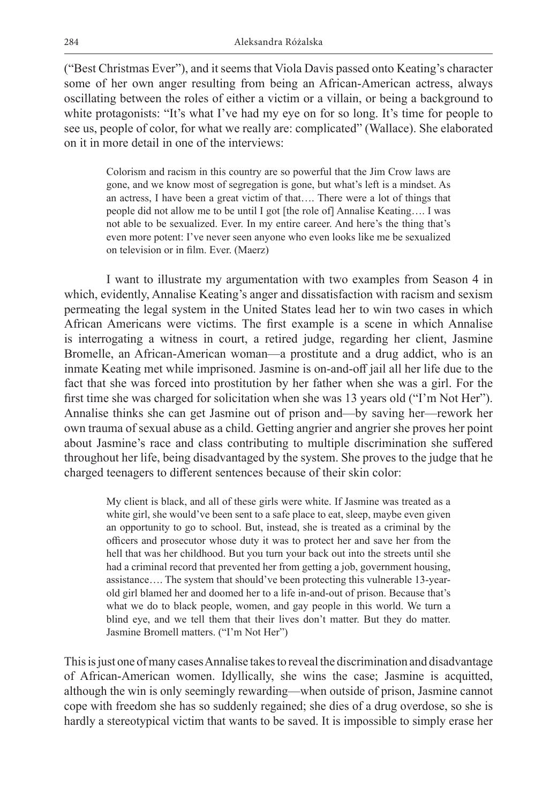("Best Christmas Ever"), and it seems that Viola Davis passed onto Keating's character some of her own anger resulting from being an African-American actress, always oscillating between the roles of either a victim or a villain, or being a background to white protagonists: "It's what I've had my eye on for so long. It's time for people to see us, people of color, for what we really are: complicated" (Wallace). She elaborated on it in more detail in one of the interviews:

Colorism and racism in this country are so powerful that the Jim Crow laws are gone, and we know most of segregation is gone, but what's left is a mindset. As an actress, I have been a great victim of that…. There were a lot of things that people did not allow me to be until I got [the role of] Annalise Keating…. I was not able to be sexualized. Ever. In my entire career. And here's the thing that's even more potent: I've never seen anyone who even looks like me be sexualized on television or in film. Ever. (Maerz)

I want to illustrate my argumentation with two examples from Season 4 in which, evidently, Annalise Keating's anger and dissatisfaction with racism and sexism permeating the legal system in the United States lead her to win two cases in which African Americans were victims. The first example is a scene in which Annalise is interrogating a witness in court, a retired judge, regarding her client, Jasmine Bromelle, an African-American woman—a prostitute and a drug addict, who is an inmate Keating met while imprisoned. Jasmine is on-and-off jail all her life due to the fact that she was forced into prostitution by her father when she was a girl. For the first time she was charged for solicitation when she was 13 years old ("I'm Not Her"). Annalise thinks she can get Jasmine out of prison and—by saving her—rework her own trauma of sexual abuse as a child. Getting angrier and angrier she proves her point about Jasmine's race and class contributing to multiple discrimination she suffered throughout her life, being disadvantaged by the system. She proves to the judge that he charged teenagers to different sentences because of their skin color:

My client is black, and all of these girls were white. If Jasmine was treated as a white girl, she would've been sent to a safe place to eat, sleep, maybe even given an opportunity to go to school. But, instead, she is treated as a criminal by the officers and prosecutor whose duty it was to protect her and save her from the hell that was her childhood. But you turn your back out into the streets until she had a criminal record that prevented her from getting a job, government housing, assistance…. The system that should've been protecting this vulnerable 13-yearold girl blamed her and doomed her to a life in-and-out of prison. Because that's what we do to black people, women, and gay people in this world. We turn a blind eye, and we tell them that their lives don't matter. But they do matter. Jasmine Bromell matters. ("I'm Not Her")

This is just one of many cases Annalise takes to reveal the discrimination and disadvantage of African-American women. Idyllically, she wins the case; Jasmine is acquitted, although the win is only seemingly rewarding—when outside of prison, Jasmine cannot cope with freedom she has so suddenly regained; she dies of a drug overdose, so she is hardly a stereotypical victim that wants to be saved. It is impossible to simply erase her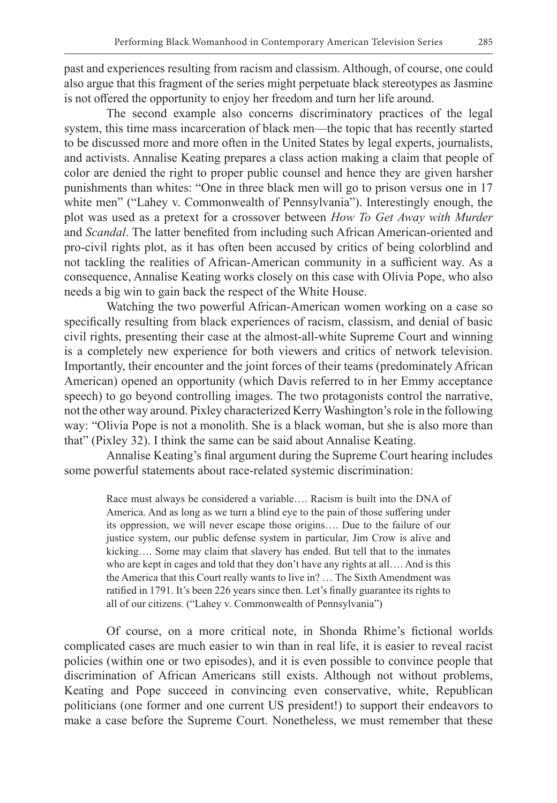past and experiences resulting from racism and classism. Although, of course, one could also argue that this fragment of the series might perpetuate black stereotypes as Jasmine is not offered the opportunity to enjoy her freedom and turn her life around.

The second example also concerns discriminatory practices of the legal system, this time mass incarceration of black men—the topic that has recently started to be discussed more and more often in the United States by legal experts, journalists, and activists. Annalise Keating prepares a class action making a claim that people of color are denied the right to proper public counsel and hence they are given harsher punishments than whites: "One in three black men will go to prison versus one in 17 white men" ("Lahey v. Commonwealth of Pennsylvania"). Interestingly enough, the plot was used as a pretext for a crossover between *How To Get Away with Murder* and *Scandal*. The latter benefited from including such African American-oriented and pro-civil rights plot, as it has often been accused by critics of being colorblind and not tackling the realities of African-American community in a sufficient way. As a consequence, Annalise Keating works closely on this case with Olivia Pope, who also needs a big win to gain back the respect of the White House.

Watching the two powerful African-American women working on a case so specifically resulting from black experiences of racism, classism, and denial of basic civil rights, presenting their case at the almost-all-white Supreme Court and winning is a completely new experience for both viewers and critics of network television. Importantly, their encounter and the joint forces of their teams (predominately African American) opened an opportunity (which Davis referred to in her Emmy acceptance speech) to go beyond controlling images. The two protagonists control the narrative, not the other way around. Pixley characterized Kerry Washington's role in the following way: "Olivia Pope is not a monolith. She is a black woman, but she is also more than that" (Pixley 32). I think the same can be said about Annalise Keating.

Annalise Keating's final argument during the Supreme Court hearing includes some powerful statements about race-related systemic discrimination:

Race must always be considered a variable…. Racism is built into the DNA of America. And as long as we turn a blind eye to the pain of those suffering under its oppression, we will never escape those origins…. Due to the failure of our justice system, our public defense system in particular, Jim Crow is alive and kicking…. Some may claim that slavery has ended. But tell that to the inmates who are kept in cages and told that they don't have any rights at all…. And is this the America that this Court really wants to live in? … The Sixth Amendment was ratified in 1791. It's been 226 years since then. Let's finally guarantee its rights to all of our citizens. ("Lahey v. Commonwealth of Pennsylvania")

Of course, on a more critical note, in Shonda Rhime's fictional worlds complicated cases are much easier to win than in real life, it is easier to reveal racist policies (within one or two episodes), and it is even possible to convince people that discrimination of African Americans still exists. Although not without problems, Keating and Pope succeed in convincing even conservative, white, Republican politicians (one former and one current US president!) to support their endeavors to make a case before the Supreme Court. Nonetheless, we must remember that these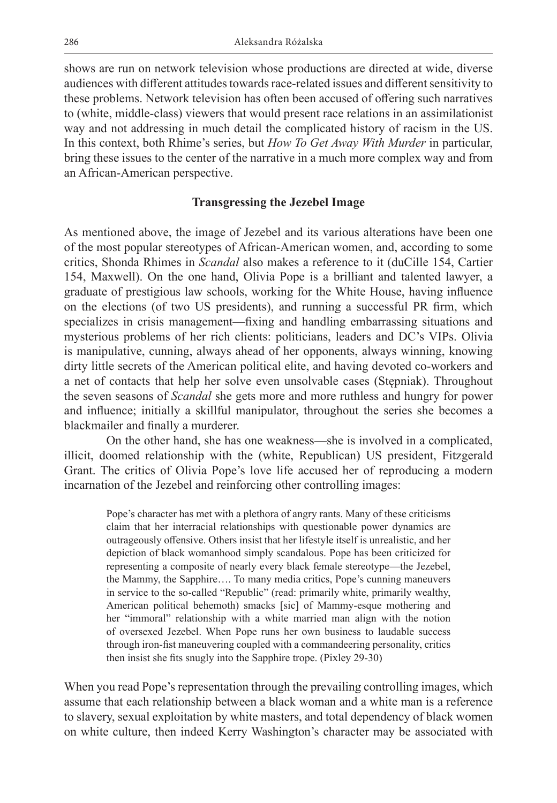shows are run on network television whose productions are directed at wide, diverse audiences with different attitudes towards race-related issues and different sensitivity to these problems. Network television has often been accused of offering such narratives to (white, middle-class) viewers that would present race relations in an assimilationist way and not addressing in much detail the complicated history of racism in the US. In this context, both Rhime's series, but *How To Get Away With Murder* in particular, bring these issues to the center of the narrative in a much more complex way and from an African-American perspective.

# **Transgressing the Jezebel Image**

As mentioned above, the image of Jezebel and its various alterations have been one of the most popular stereotypes of African-American women, and, according to some critics, Shonda Rhimes in *Scandal* also makes a reference to it (duCille 154, Cartier 154, Maxwell). On the one hand, Olivia Pope is a brilliant and talented lawyer, a graduate of prestigious law schools, working for the White House, having influence on the elections (of two US presidents), and running a successful PR firm, which specializes in crisis management—fixing and handling embarrassing situations and mysterious problems of her rich clients: politicians, leaders and DC's VIPs. Olivia is manipulative, cunning, always ahead of her opponents, always winning, knowing dirty little secrets of the American political elite, and having devoted co-workers and a net of contacts that help her solve even unsolvable cases (Stępniak). Throughout the seven seasons of *Scandal* she gets more and more ruthless and hungry for power and influence; initially a skillful manipulator, throughout the series she becomes a blackmailer and finally a murderer.

On the other hand, she has one weakness—she is involved in a complicated, illicit, doomed relationship with the (white, Republican) US president, Fitzgerald Grant. The critics of Olivia Pope's love life accused her of reproducing a modern incarnation of the Jezebel and reinforcing other controlling images:

Pope's character has met with a plethora of angry rants. Many of these criticisms claim that her interracial relationships with questionable power dynamics are outrageously offensive. Others insist that her lifestyle itself is unrealistic, and her depiction of black womanhood simply scandalous. Pope has been criticized for representing a composite of nearly every black female stereotype—the Jezebel, the Mammy, the Sapphire…. To many media critics, Pope's cunning maneuvers in service to the so-called "Republic" (read: primarily white, primarily wealthy, American political behemoth) smacks [sic] of Mammy-esque mothering and her "immoral" relationship with a white married man align with the notion of oversexed Jezebel. When Pope runs her own business to laudable success through iron-fist maneuvering coupled with a commandeering personality, critics then insist she fits snugly into the Sapphire trope. (Pixley 29-30)

When you read Pope's representation through the prevailing controlling images, which assume that each relationship between a black woman and a white man is a reference to slavery, sexual exploitation by white masters, and total dependency of black women on white culture, then indeed Kerry Washington's character may be associated with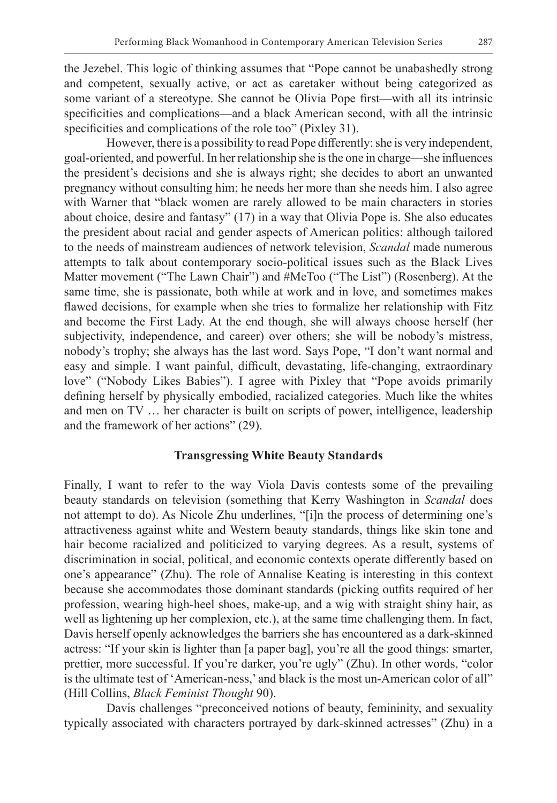the Jezebel. This logic of thinking assumes that "Pope cannot be unabashedly strong and competent, sexually active, or act as caretaker without being categorized as some variant of a stereotype. She cannot be Olivia Pope first—with all its intrinsic specificities and complications—and a black American second, with all the intrinsic specificities and complications of the role too" (Pixley 31).

However, there is a possibility to read Pope differently: she is very independent, goal-oriented, and powerful. In her relationship she is the one in charge—she influences the president's decisions and she is always right; she decides to abort an unwanted pregnancy without consulting him; he needs her more than she needs him. I also agree with Warner that "black women are rarely allowed to be main characters in stories about choice, desire and fantasy" (17) in a way that Olivia Pope is. She also educates the president about racial and gender aspects of American politics: although tailored to the needs of mainstream audiences of network television, *Scandal* made numerous attempts to talk about contemporary socio-political issues such as the Black Lives Matter movement ("The Lawn Chair") and #MeToo ("The List") (Rosenberg). At the same time, she is passionate, both while at work and in love, and sometimes makes flawed decisions, for example when she tries to formalize her relationship with Fitz and become the First Lady. At the end though, she will always choose herself (her subjectivity, independence, and career) over others; she will be nobody's mistress, nobody's trophy; she always has the last word. Says Pope, "I don't want normal and easy and simple. I want painful, difficult, devastating, life-changing, extraordinary love" ("Nobody Likes Babies"). I agree with Pixley that "Pope avoids primarily defining herself by physically embodied, racialized categories. Much like the whites and men on TV … her character is built on scripts of power, intelligence, leadership and the framework of her actions" (29).

## **Transgressing White Beauty Standards**

Finally, I want to refer to the way Viola Davis contests some of the prevailing beauty standards on television (something that Kerry Washington in *Scandal* does not attempt to do). As Nicole Zhu underlines, "[i]n the process of determining one's attractiveness against white and Western beauty standards, things like skin tone and hair become racialized and politicized to varying degrees. As a result, systems of discrimination in social, political, and economic contexts operate differently based on one's appearance" (Zhu). The role of Annalise Keating is interesting in this context because she accommodates those dominant standards (picking outfits required of her profession, wearing high-heel shoes, make-up, and a wig with straight shiny hair, as well as lightening up her complexion, etc.), at the same time challenging them. In fact, Davis herself openly acknowledges the barriers she has encountered as a dark-skinned actress: "If your skin is lighter than [a paper bag], you're all the good things: smarter, prettier, more successful. If you're darker, you're ugly" (Zhu). In other words, "color is the ultimate test of 'American-ness,' and black is the most un-American color of all" (Hill Collins, *Black Feminist Thought* 90).

Davis challenges "preconceived notions of beauty, femininity, and sexuality typically associated with characters portrayed by dark-skinned actresses" (Zhu) in a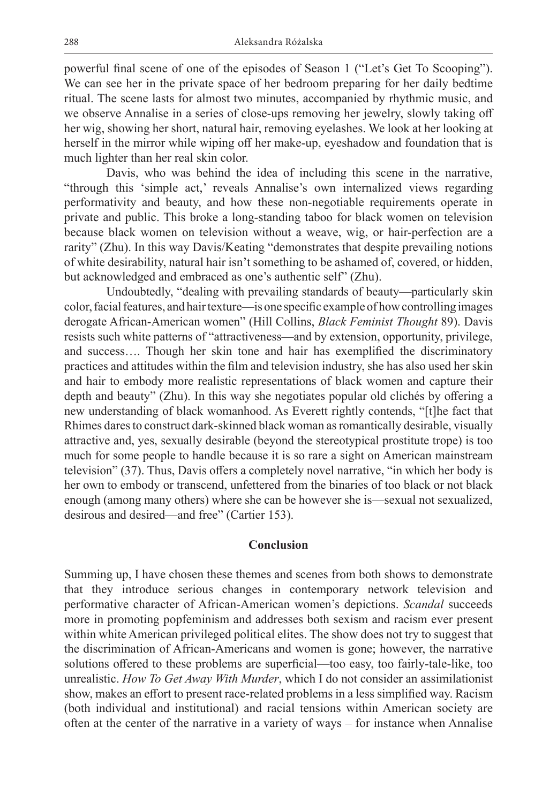powerful final scene of one of the episodes of Season 1 ("Let's Get To Scooping"). We can see her in the private space of her bedroom preparing for her daily bedtime ritual. The scene lasts for almost two minutes, accompanied by rhythmic music, and we observe Annalise in a series of close-ups removing her jewelry, slowly taking off her wig, showing her short, natural hair, removing eyelashes. We look at her looking at herself in the mirror while wiping off her make-up, eyeshadow and foundation that is much lighter than her real skin color.

Davis, who was behind the idea of including this scene in the narrative, "through this 'simple act,' reveals Annalise's own internalized views regarding performativity and beauty, and how these non-negotiable requirements operate in private and public. This broke a long-standing taboo for black women on television because black women on television without a weave, wig, or hair-perfection are a rarity" (Zhu). In this way Davis/Keating "demonstrates that despite prevailing notions of white desirability, natural hair isn't something to be ashamed of, covered, or hidden, but acknowledged and embraced as one's authentic self" (Zhu).

Undoubtedly, "dealing with prevailing standards of beauty—particularly skin color, facial features, and hair texture—is one specific example of how controlling images derogate African-American women" (Hill Collins, *Black Feminist Thought* 89). Davis resists such white patterns of "attractiveness—and by extension, opportunity, privilege, and success…. Though her skin tone and hair has exemplified the discriminatory practices and attitudes within the film and television industry, she has also used her skin and hair to embody more realistic representations of black women and capture their depth and beauty" (Zhu). In this way she negotiates popular old clichés by offering a new understanding of black womanhood. As Everett rightly contends, "[t]he fact that Rhimes dares to construct dark-skinned black woman as romantically desirable, visually attractive and, yes, sexually desirable (beyond the stereotypical prostitute trope) is too much for some people to handle because it is so rare a sight on American mainstream television" (37). Thus, Davis offers a completely novel narrative, "in which her body is her own to embody or transcend, unfettered from the binaries of too black or not black enough (among many others) where she can be however she is—sexual not sexualized, desirous and desired—and free" (Cartier 153).

#### **Conclusion**

Summing up, I have chosen these themes and scenes from both shows to demonstrate that they introduce serious changes in contemporary network television and performative character of African-American women's depictions. *Scandal* succeeds more in promoting popfeminism and addresses both sexism and racism ever present within white American privileged political elites. The show does not try to suggest that the discrimination of African-Americans and women is gone; however, the narrative solutions offered to these problems are superficial—too easy, too fairly-tale-like, too unrealistic. *How To Get Away With Murder*, which I do not consider an assimilationist show, makes an effort to present race-related problems in a less simplified way. Racism (both individual and institutional) and racial tensions within American society are often at the center of the narrative in a variety of ways – for instance when Annalise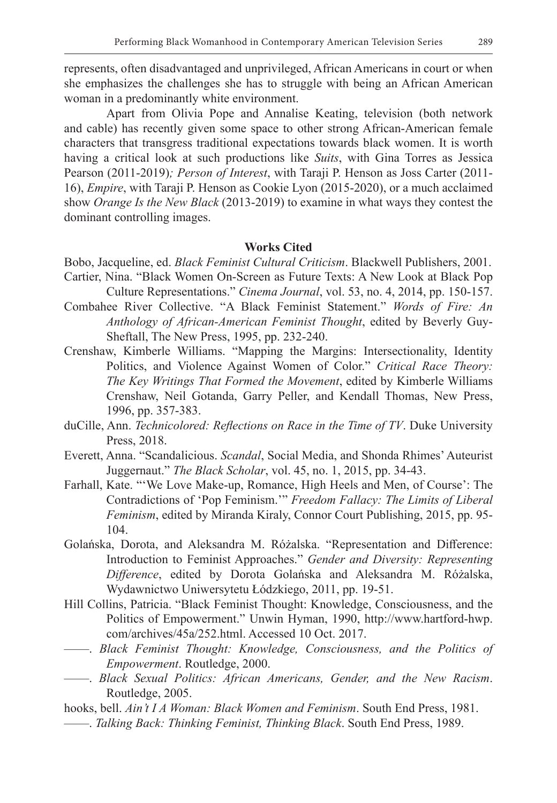represents, often disadvantaged and unprivileged, African Americans in court or when she emphasizes the challenges she has to struggle with being an African American woman in a predominantly white environment.

Apart from Olivia Pope and Annalise Keating, television (both network and cable) has recently given some space to other strong African-American female characters that transgress traditional expectations towards black women. It is worth having a critical look at such productions like *Suits*, with Gina Torres as Jessica Pearson (2011-2019)*; Person of Interest*, with Taraji P. Henson as Joss Carter (2011- 16), *Empire*, with Taraji P. Henson as Cookie Lyon (2015-2020), or a much acclaimed show *Orange Is the New Black* (2013-2019) to examine in what ways they contest the dominant controlling images.

#### **Works Cited**

- Bobo, Jacqueline, ed. *Black Feminist Cultural Criticism*. Blackwell Publishers, 2001. Cartier, Nina. "Black Women On-Screen as Future Texts: A New Look at Black Pop
- Culture Representations." *Cinema Journal*, vol. 53, no. 4, 2014, pp. 150-157. Combahee River Collective. "A Black Feminist Statement." *Words of Fire: An Anthology of African-American Feminist Thought*, edited by Beverly Guy-Sheftall, The New Press, 1995, pp. 232-240.
- Crenshaw, Kimberle Williams. "Mapping the Margins: Intersectionality, Identity Politics, and Violence Against Women of Color." *Critical Race Theory: The Key Writings That Formed the Movement*, edited by Kimberle Williams Crenshaw, Neil Gotanda, Garry Peller, and Kendall Thomas, New Press, 1996, pp. 357-383.
- duCille, Ann. *Technicolored: Reflections on Race in the Time of TV*. Duke University Press, 2018.
- Everett, Anna. "Scandalicious. *Scandal*, Social Media, and Shonda Rhimes' Auteurist Juggernaut." *The Black Scholar*, vol. 45, no. 1, 2015, pp. 34-43.
- Farhall, Kate. "'We Love Make-up, Romance, High Heels and Men, of Course': The Contradictions of 'Pop Feminism.'" *Freedom Fallacy: The Limits of Liberal Feminism*, edited by Miranda Kiraly, Connor Court Publishing, 2015, pp. 95- 104.
- Golańska, Dorota, and Aleksandra M. Różalska. "Representation and Difference: Introduction to Feminist Approaches." *Gender and Diversity: Representing Difference*, edited by Dorota Golańska and Aleksandra M. Różalska, Wydawnictwo Uniwersytetu Łódzkiego, 2011, pp. 19-51.
- Hill Collins, Patricia. "Black Feminist Thought: Knowledge, Consciousness, and the Politics of Empowerment." Unwin Hyman, 1990, http://www.hartford-hwp. com/archives/45a/252.html. Accessed 10 Oct. 2017.
- ——. *Black Feminist Thought: Knowledge, Consciousness, and the Politics of Empowerment*. Routledge, 2000.
- ——. *Black Sexual Politics: African Americans, Gender, and the New Racism*. Routledge, 2005.
- hooks, bell. *Ain't I A Woman: Black Women and Feminism*. South End Press, 1981.
	- ——. *Talking Back: Thinking Feminist, Thinking Black*. South End Press, 1989.